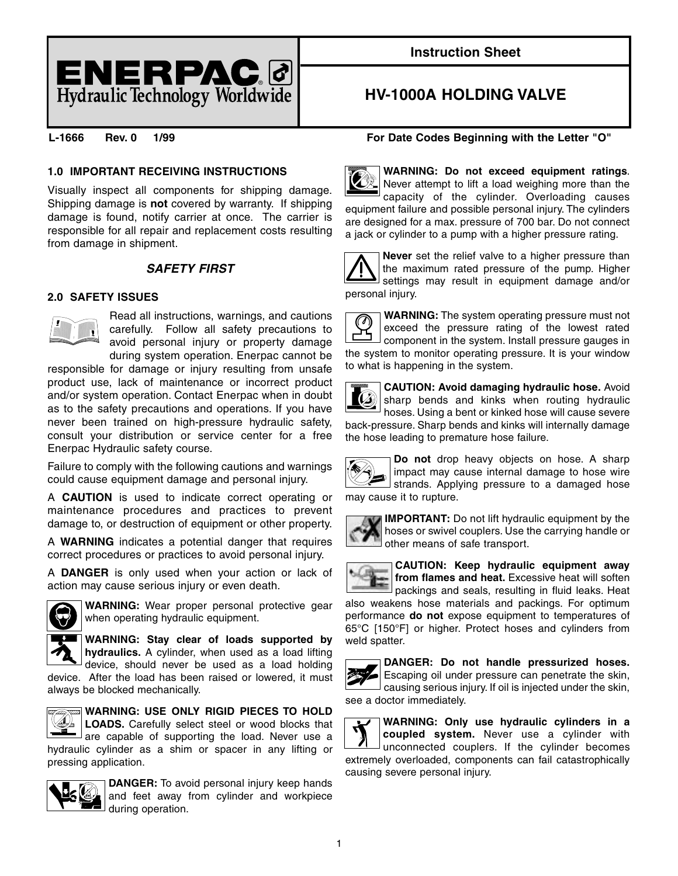

# **Instruction Sheet**

# **HV-1000A HOLDING VALVE**

## **1.0 IMPORTANT RECEIVING INSTRUCTIONS**

Visually inspect all components for shipping damage. Shipping damage is **not** covered by warranty. If shipping damage is found, notify carrier at once. The carrier is responsible for all repair and replacement costs resulting from damage in shipment.

# **SAFETY FIRST**

## **2.0 SAFETY ISSUES**



Read all instructions, warnings, and cautions carefully. Follow all safety precautions to avoid personal injury or property damage during system operation. Enerpac cannot be

responsible for damage or injury resulting from unsafe product use, lack of maintenance or incorrect product and/or system operation. Contact Enerpac when in doubt as to the safety precautions and operations. If you have never been trained on high-pressure hydraulic safety, consult your distribution or service center for a free Enerpac Hydraulic safety course.

Failure to comply with the following cautions and warnings could cause equipment damage and personal injury.

A **CAUTION** is used to indicate correct operating or maintenance procedures and practices to prevent damage to, or destruction of equipment or other property.

A **WARNING** indicates a potential danger that requires correct procedures or practices to avoid personal injury.

A **DANGER** is only used when your action or lack of action may cause serious injury or even death.



**WARNING:** Wear proper personal protective gear when operating hydraulic equipment.

**WARNING: Stay clear of loads supported by hydraulics.** A cylinder, when used as a load lifting

device, should never be used as a load holding device. After the load has been raised or lowered, it must always be blocked mechanically.



are capable of supporting the load. Never use a hydraulic cylinder as a shim or spacer in any lifting or pressing application.



**DANGER:** To avoid personal injury keep hands and feet away from cylinder and workpiece during operation.

## **L-1666 Rev. 0 1/99 For Date Codes Beginning with the Letter "O"**



**WARNING: Do not exceed equipment ratings**. Never attempt to lift a load weighing more than the capacity of the cylinder. Overloading causes equipment failure and possible personal injury. The cylinders are designed for a max. pressure of 700 bar. Do not connect a jack or cylinder to a pump with a higher pressure rating.



**Never** set the relief valve to a higher pressure than the maximum rated pressure of the pump. Higher settings may result in equipment damage and/or personal injury.



**WARNING:** The system operating pressure must not exceed the pressure rating of the lowest rated component in the system. Install pressure gauges in the system to monitor operating pressure. It is your window to what is happening in the system.





**Do not** drop heavy objects on hose. A sharp impact may cause internal damage to hose wire strands. Applying pressure to a damaged hose may cause it to rupture.



**IMPORTANT:** Do not lift hydraulic equipment by the hoses or swivel couplers. Use the carrying handle or other means of safe transport.



**CAUTION: Keep hydraulic equipment away from flames and heat.** Excessive heat will soften

packings and seals, resulting in fluid leaks. Heat also weakens hose materials and packings. For optimum performance **do not** expose equipment to temperatures of 65°C [150°F] or higher. Protect hoses and cylinders from weld spatter.



**DANGER: Do not handle pressurized hoses.** Escaping oil under pressure can penetrate the skin, causing serious injury. If oil is injected under the skin, see a doctor immediately.

**WARNING: Only use hydraulic cylinders in a coupled system.** Never use a cylinder with unconnected couplers. If the cylinder becomes extremely overloaded, components can fail catastrophically causing severe personal injury.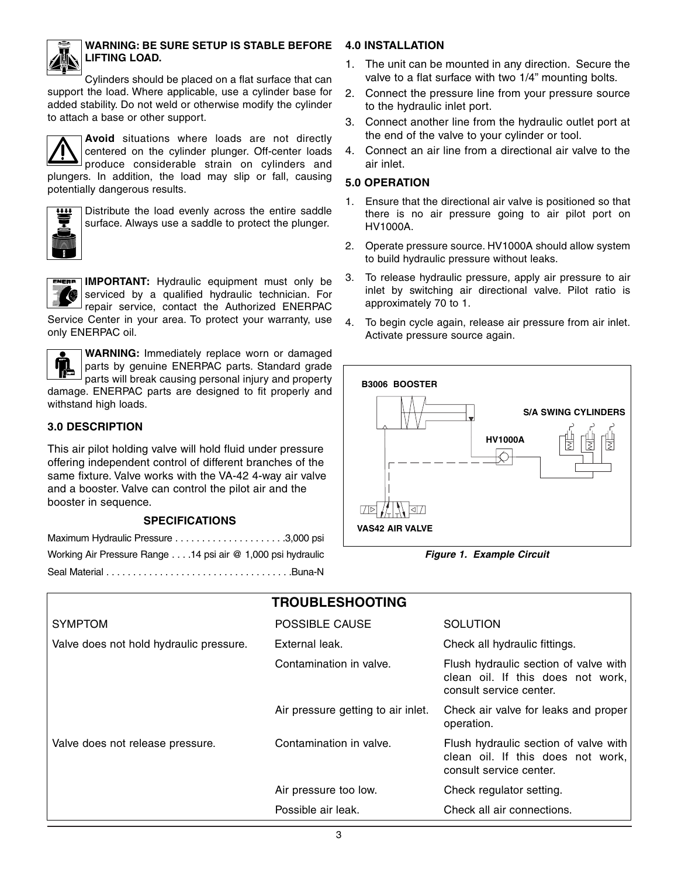

## **WARNING: BE SURE SETUP IS STABLE BEFORE LIFTING LOAD.**

Cylinders should be placed on a flat surface that can support the load. Where applicable, use a cylinder base for added stability. Do not weld or otherwise modify the cylinder to attach a base or other support.



**Avoid** situations where loads are not directly centered on the cylinder plunger. Off-center loads produce considerable strain on cylinders and plungers. In addition, the load may slip or fall, causing potentially dangerous results.



Distribute the load evenly across the entire saddle surface. Always use a saddle to protect the plunger.



**IMPORTANT:** Hydraulic equipment must only be serviced by a qualified hydraulic technician. For repair service, contact the Authorized ENERPAC Service Center in your area. To protect your warranty, use

only ENERPAC oil.

**WARNING:** Immediately replace worn or damaged parts by genuine ENERPAC parts. Standard grade parts will break causing personal injury and property damage. ENERPAC parts are designed to fit properly and withstand high loads.

# **3.0 DESCRIPTION**

This air pilot holding valve will hold fluid under pressure offering independent control of different branches of the same fixture. Valve works with the VA-42 4-way air valve and a booster. Valve can control the pilot air and the booster in sequence.

## **SPECIFICATIONS**

| Working Air Pressure Range 14 psi air @ 1,000 psi hydraulic |  |
|-------------------------------------------------------------|--|
|                                                             |  |

# **4.0 INSTALLATION**

- 1. The unit can be mounted in any direction. Secure the valve to a flat surface with two 1/4" mounting bolts.
- 2. Connect the pressure line from your pressure source to the hydraulic inlet port.
- 3. Connect another line from the hydraulic outlet port at the end of the valve to your cylinder or tool.
- 4. Connect an air line from a directional air valve to the air inlet.

## **5.0 OPERATION**

- 1. Ensure that the directional air valve is positioned so that there is no air pressure going to air pilot port on HV1000A.
- 2. Operate pressure source. HV1000A should allow system to build hydraulic pressure without leaks.
- 3. To release hydraulic pressure, apply air pressure to air inlet by switching air directional valve. Pilot ratio is approximately 70 to 1.
- 4. To begin cycle again, release air pressure from air inlet. Activate pressure source again.



**Figure 1. Example Circuit**

|                                         | <b>TROUBLESHOOTING</b>             |                                                                                                       |
|-----------------------------------------|------------------------------------|-------------------------------------------------------------------------------------------------------|
| <b>SYMPTOM</b>                          | <b>POSSIBLE CAUSE</b>              | <b>SOLUTION</b>                                                                                       |
| Valve does not hold hydraulic pressure. | External leak.                     | Check all hydraulic fittings.                                                                         |
|                                         | Contamination in valve.            | Flush hydraulic section of valve with<br>clean oil. If this does not work,<br>consult service center. |
|                                         | Air pressure getting to air inlet. | Check air valve for leaks and proper<br>operation.                                                    |
| Valve does not release pressure.        | Contamination in valve.            | Flush hydraulic section of valve with<br>clean oil. If this does not work,<br>consult service center. |
|                                         | Air pressure too low.              | Check regulator setting.                                                                              |
|                                         | Possible air leak.                 | Check all air connections.                                                                            |